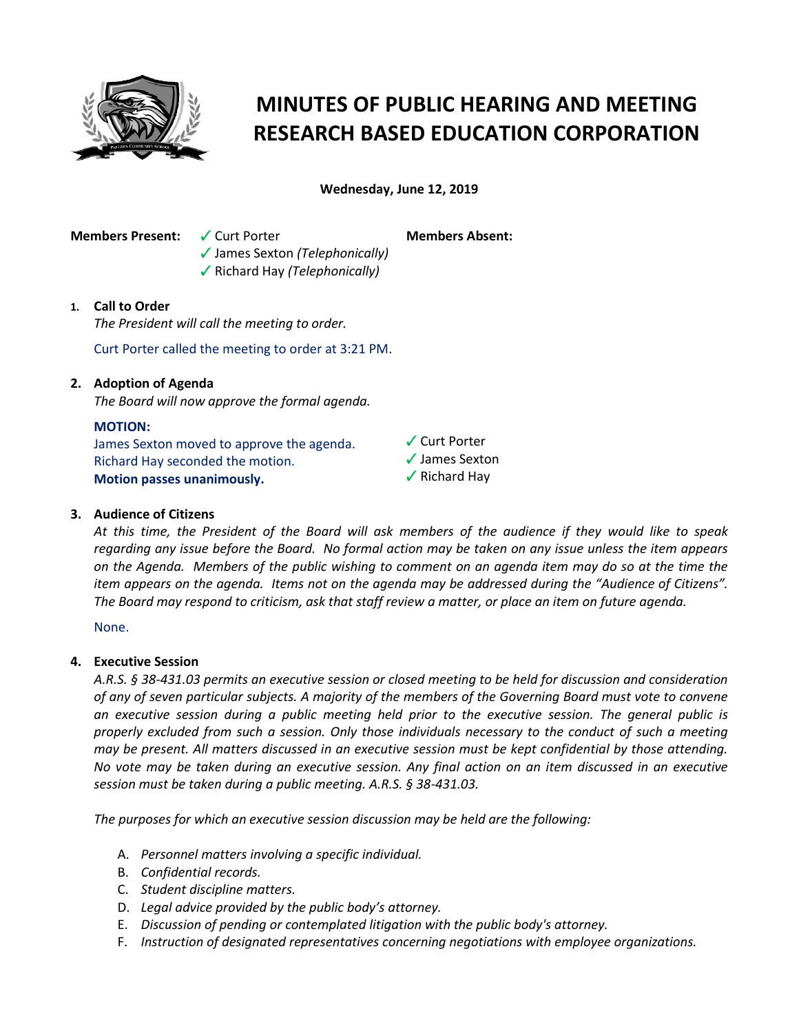

# **MINUTES OF PUBLIC HEARING AND MEETING RESEARCH BASED EDUCATION CORPORATION**

**Wednesday, June 12, 2019**

**Members Present:**  $\checkmark$  Curt Porter

**Members Absent:**

**√** Richard Hay *(Telephonically)* 

b James Sexton *(Telephonically)*

# **1. Call to Order**

*The President will call the meeting to order.*

Curt Porter called the meeting to order at 3:21 PM.

# **2. Adoption of Agenda**

*The Board will now approve the formal agenda.*

### **MOTION:**

James Sexton moved to approve the agenda. Richard Hay seconded the motion. **Motion passes unanimously.**

 $\sqrt{\frac{1}{1}}$  Curt Porter  $\checkmark$  James Sexton  $\sqrt{\ }$  Richard Hay

# **3. Audience of Citizens**

*At this time, the President of the Board will ask members of the audience if they would like to speak regarding any issue before the Board. No formal action may be taken on any issue unless the item appears on the Agenda. Members of the public wishing to comment on an agenda item may do so at the time the item appears on the agenda. Items not on the agenda may be addressed during the "Audience of Citizens". The Board may respond to criticism, ask that staff review a matter, or place an item on future agenda.*

None.

### **4. Executive Session**

*A.R.S. § 38-431.03 permits an executive session or closed meeting to be held for discussion and consideration of any of seven particular subjects. A majority of the members of the Governing Board must vote to convene an executive session during a public meeting held prior to the executive session. The general public is properly excluded from such a session. Only those individuals necessary to the conduct of such a meeting may be present. All matters discussed in an executive session must be kept confidential by those attending. No vote may be taken during an executive session. Any final action on an item discussed in an executive session must be taken during a public meeting. A.R.S. § 38-431.03.* 

*The purposes for which an executive session discussion may be held are the following:* 

- A. *Personnel matters involving a specific individual.*
- B. *Confidential records.*
- C. *Student discipline matters.*
- D. *Legal advice provided by the public body's attorney.*
- E. *Discussion of pending or contemplated litigation with the public body's attorney.*
- F. *Instruction of designated representatives concerning negotiations with employee organizations.*